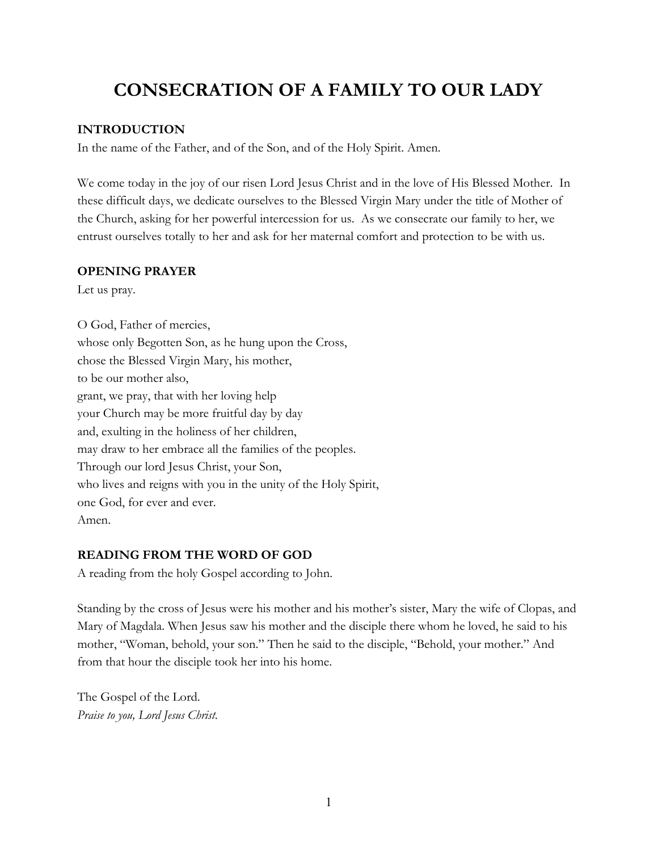# **CONSECRATION OF A FAMILY TO OUR LADY**

#### **INTRODUCTION**

In the name of the Father, and of the Son, and of the Holy Spirit. Amen.

We come today in the joy of our risen Lord Jesus Christ and in the love of His Blessed Mother. In these difficult days, we dedicate ourselves to the Blessed Virgin Mary under the title of Mother of the Church, asking for her powerful intercession for us. As we consecrate our family to her, we entrust ourselves totally to her and ask for her maternal comfort and protection to be with us.

#### **OPENING PRAYER**

Let us pray.

O God, Father of mercies, whose only Begotten Son, as he hung upon the Cross, chose the Blessed Virgin Mary, his mother, to be our mother also, grant, we pray, that with her loving help your Church may be more fruitful day by day and, exulting in the holiness of her children, may draw to her embrace all the families of the peoples. Through our lord Jesus Christ, your Son, who lives and reigns with you in the unity of the Holy Spirit, one God, for ever and ever. Amen.

### **READING FROM THE WORD OF GOD**

A reading from the holy Gospel according to John.

Standing by the cross of Jesus were his mother and his mother's sister, Mary the wife of Clopas, and Mary of Magdala. When Jesus saw his mother and the disciple there whom he loved, he said to his mother, "Woman, behold, your son." Then he said to the disciple, "Behold, your mother." And from that hour the disciple took her into his home.

The Gospel of the Lord. *Praise to you, Lord Jesus Christ*.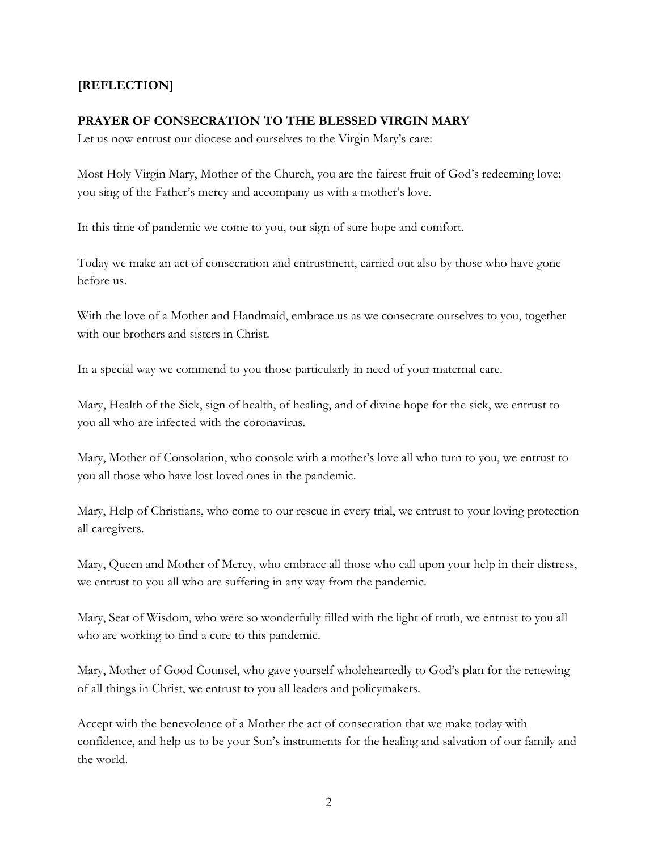# **[REFLECTION]**

#### **PRAYER OF CONSECRATION TO THE BLESSED VIRGIN MARY**

Let us now entrust our diocese and ourselves to the Virgin Mary's care:

Most Holy Virgin Mary, Mother of the Church, you are the fairest fruit of God's redeeming love; you sing of the Father's mercy and accompany us with a mother's love.

In this time of pandemic we come to you, our sign of sure hope and comfort.

Today we make an act of consecration and entrustment, carried out also by those who have gone before us.

With the love of a Mother and Handmaid, embrace us as we consecrate ourselves to you, together with our brothers and sisters in Christ.

In a special way we commend to you those particularly in need of your maternal care.

Mary, Health of the Sick, sign of health, of healing, and of divine hope for the sick, we entrust to you all who are infected with the coronavirus.

Mary, Mother of Consolation, who console with a mother's love all who turn to you, we entrust to you all those who have lost loved ones in the pandemic.

Mary, Help of Christians, who come to our rescue in every trial, we entrust to your loving protection all caregivers.

Mary, Queen and Mother of Mercy, who embrace all those who call upon your help in their distress, we entrust to you all who are suffering in any way from the pandemic.

Mary, Seat of Wisdom, who were so wonderfully filled with the light of truth, we entrust to you all who are working to find a cure to this pandemic.

Mary, Mother of Good Counsel, who gave yourself wholeheartedly to God's plan for the renewing of all things in Christ, we entrust to you all leaders and policymakers.

Accept with the benevolence of a Mother the act of consecration that we make today with confidence, and help us to be your Son's instruments for the healing and salvation of our family and the world.